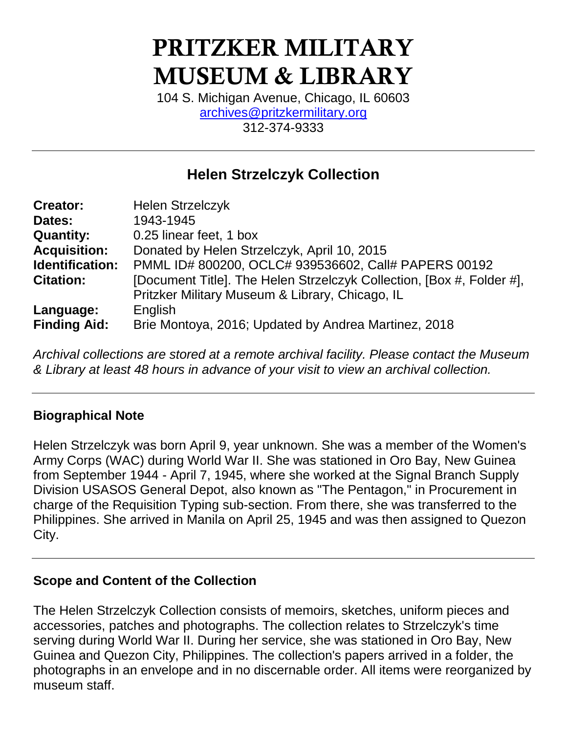# PRITZKER MILITARY MUSEUM & LIBRARY

104 S. Michigan Avenue, Chicago, IL 60603 [archives@pritzkermilitary.org](mailto:archives@pritzkermilitary.org) 312-374-9333

# **Helen Strzelczyk Collection**

| <b>Creator:</b>     | <b>Helen Strzelczyk</b>                                               |
|---------------------|-----------------------------------------------------------------------|
| Dates:              | 1943-1945                                                             |
| <b>Quantity:</b>    | 0.25 linear feet, 1 box                                               |
| <b>Acquisition:</b> | Donated by Helen Strzelczyk, April 10, 2015                           |
| Identification:     | PMML ID# 800200, OCLC# 939536602, Call# PAPERS 00192                  |
| <b>Citation:</b>    | [Document Title]. The Helen Strzelczyk Collection, [Box #, Folder #], |
|                     | Pritzker Military Museum & Library, Chicago, IL                       |
| Language:           | English                                                               |
| <b>Finding Aid:</b> | Brie Montoya, 2016; Updated by Andrea Martinez, 2018                  |

*Archival collections are stored at a remote archival facility. Please contact the Museum & Library at least 48 hours in advance of your visit to view an archival collection.*

# **Biographical Note**

Helen Strzelczyk was born April 9, year unknown. She was a member of the Women's Army Corps (WAC) during World War II. She was stationed in Oro Bay, New Guinea from September 1944 - April 7, 1945, where she worked at the Signal Branch Supply Division USASOS General Depot, also known as "The Pentagon," in Procurement in charge of the Requisition Typing sub-section. From there, she was transferred to the Philippines. She arrived in Manila on April 25, 1945 and was then assigned to Quezon City.

#### **Scope and Content of the Collection**

The Helen Strzelczyk Collection consists of memoirs, sketches, uniform pieces and accessories, patches and photographs. The collection relates to Strzelczyk's time serving during World War II. During her service, she was stationed in Oro Bay, New Guinea and Quezon City, Philippines. The collection's papers arrived in a folder, the photographs in an envelope and in no discernable order. All items were reorganized by museum staff.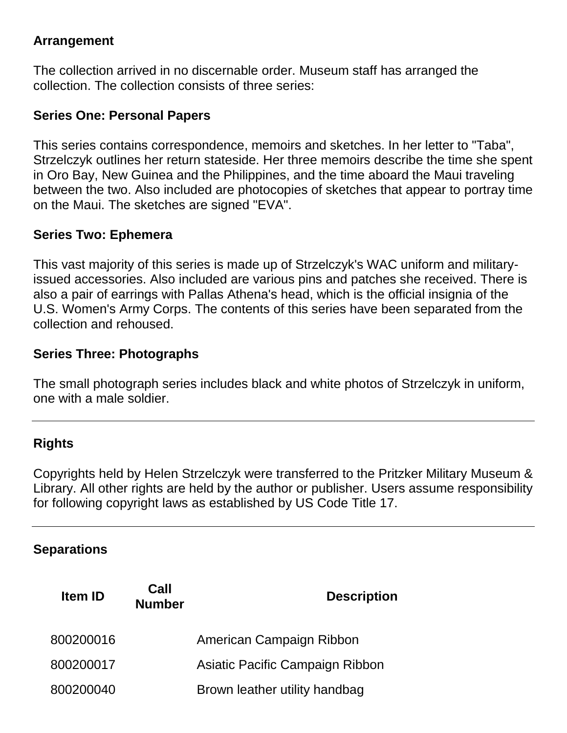### **Arrangement**

The collection arrived in no discernable order. Museum staff has arranged the collection. The collection consists of three series:

### **Series One: Personal Papers**

This series contains correspondence, memoirs and sketches. In her letter to "Taba", Strzelczyk outlines her return stateside. Her three memoirs describe the time she spent in Oro Bay, New Guinea and the Philippines, and the time aboard the Maui traveling between the two. Also included are photocopies of sketches that appear to portray time on the Maui. The sketches are signed "EVA".

#### **Series Two: Ephemera**

This vast majority of this series is made up of Strzelczyk's WAC uniform and militaryissued accessories. Also included are various pins and patches she received. There is also a pair of earrings with Pallas Athena's head, which is the official insignia of the U.S. Women's Army Corps. The contents of this series have been separated from the collection and rehoused.

#### **Series Three: Photographs**

The small photograph series includes black and white photos of Strzelczyk in uniform, one with a male soldier.

# **Rights**

Copyrights held by Helen Strzelczyk were transferred to the Pritzker Military Museum & Library. All other rights are held by the author or publisher. Users assume responsibility for following copyright laws as established by US Code Title 17.

# **Separations**

| <b>Item ID</b> | Call<br><b>Number</b> | <b>Description</b>              |
|----------------|-----------------------|---------------------------------|
| 800200016      |                       | American Campaign Ribbon        |
| 800200017      |                       | Asiatic Pacific Campaign Ribbon |
| 800200040      |                       | Brown leather utility handbag   |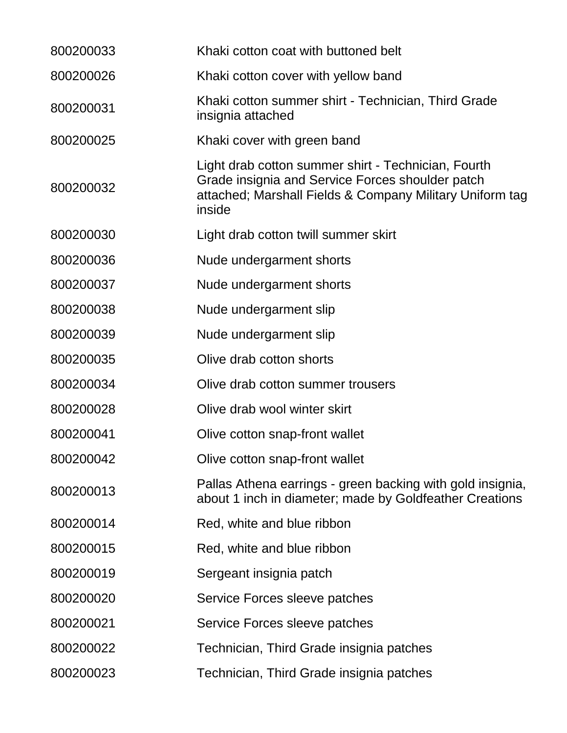| 800200033 | Khaki cotton coat with buttoned belt                                                                                                                                          |
|-----------|-------------------------------------------------------------------------------------------------------------------------------------------------------------------------------|
| 800200026 | Khaki cotton cover with yellow band                                                                                                                                           |
| 800200031 | Khaki cotton summer shirt - Technician, Third Grade<br>insignia attached                                                                                                      |
| 800200025 | Khaki cover with green band                                                                                                                                                   |
| 800200032 | Light drab cotton summer shirt - Technician, Fourth<br>Grade insignia and Service Forces shoulder patch<br>attached; Marshall Fields & Company Military Uniform tag<br>inside |
| 800200030 | Light drab cotton twill summer skirt                                                                                                                                          |
| 800200036 | Nude undergarment shorts                                                                                                                                                      |
| 800200037 | Nude undergarment shorts                                                                                                                                                      |
| 800200038 | Nude undergarment slip                                                                                                                                                        |
| 800200039 | Nude undergarment slip                                                                                                                                                        |
| 800200035 | Olive drab cotton shorts                                                                                                                                                      |
| 800200034 | Olive drab cotton summer trousers                                                                                                                                             |
| 800200028 | Olive drab wool winter skirt                                                                                                                                                  |
| 800200041 | Olive cotton snap-front wallet                                                                                                                                                |
| 800200042 | Olive cotton snap-front wallet                                                                                                                                                |
| 800200013 | Pallas Athena earrings - green backing with gold insignia,<br>about 1 inch in diameter; made by Goldfeather Creations                                                         |
| 800200014 | Red, white and blue ribbon                                                                                                                                                    |
| 800200015 | Red, white and blue ribbon                                                                                                                                                    |
| 800200019 | Sergeant insignia patch                                                                                                                                                       |
| 800200020 | Service Forces sleeve patches                                                                                                                                                 |
| 800200021 | Service Forces sleeve patches                                                                                                                                                 |
| 800200022 | Technician, Third Grade insignia patches                                                                                                                                      |
| 800200023 | Technician, Third Grade insignia patches                                                                                                                                      |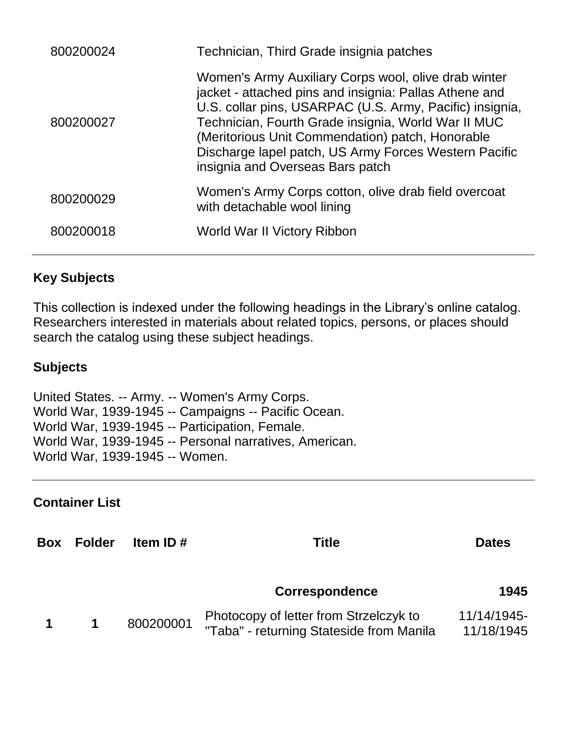| 800200024 | Technician, Third Grade insignia patches                                                                                                                                                                                                                                                                                                                                           |
|-----------|------------------------------------------------------------------------------------------------------------------------------------------------------------------------------------------------------------------------------------------------------------------------------------------------------------------------------------------------------------------------------------|
| 800200027 | Women's Army Auxiliary Corps wool, olive drab winter<br>jacket - attached pins and insignia: Pallas Athene and<br>U.S. collar pins, USARPAC (U.S. Army, Pacific) insignia,<br>Technician, Fourth Grade insignia, World War II MUC<br>(Meritorious Unit Commendation) patch, Honorable<br>Discharge lapel patch, US Army Forces Western Pacific<br>insignia and Overseas Bars patch |
| 800200029 | Women's Army Corps cotton, olive drab field overcoat<br>with detachable wool lining                                                                                                                                                                                                                                                                                                |
| 800200018 | World War II Victory Ribbon                                                                                                                                                                                                                                                                                                                                                        |

# **Key Subjects**

This collection is indexed under the following headings in the Library's online catalog. Researchers interested in materials about related topics, persons, or places should search the catalog using these subject headings.

# **Subjects**

United States. -- Army. -- Women's Army Corps. World War, 1939-1945 -- Campaigns -- Pacific Ocean. World War, 1939-1945 -- Participation, Female. World War, 1939-1945 -- Personal narratives, American. World War, 1939-1945 -- Women.

# **Container List**

| <b>Box</b> | <b>Folder</b> | Item ID $#$ | Title                                                                              | <b>Dates</b>              |
|------------|---------------|-------------|------------------------------------------------------------------------------------|---------------------------|
|            |               |             | <b>Correspondence</b>                                                              | 1945                      |
|            |               | 800200001   | Photocopy of letter from Strzelczyk to<br>"Taba" - returning Stateside from Manila | 11/14/1945-<br>11/18/1945 |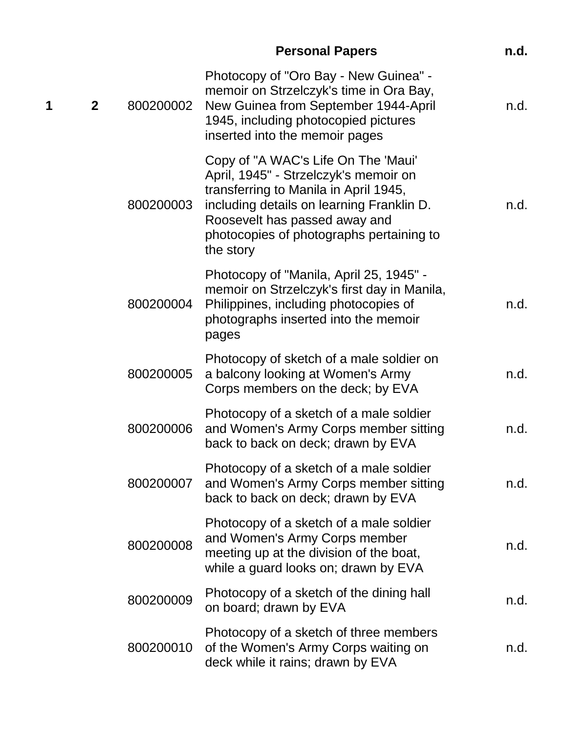|   |              |           | <b>Personal Papers</b>                                                                                                                                                                                                                                       | n.d. |
|---|--------------|-----------|--------------------------------------------------------------------------------------------------------------------------------------------------------------------------------------------------------------------------------------------------------------|------|
| 1 | $\mathbf{2}$ | 800200002 | Photocopy of "Oro Bay - New Guinea" -<br>memoir on Strzelczyk's time in Ora Bay,<br>New Guinea from September 1944-April<br>1945, including photocopied pictures<br>inserted into the memoir pages                                                           | n.d. |
|   |              | 800200003 | Copy of "A WAC's Life On The 'Maui'<br>April, 1945" - Strzelczyk's memoir on<br>transferring to Manila in April 1945,<br>including details on learning Franklin D.<br>Roosevelt has passed away and<br>photocopies of photographs pertaining to<br>the story | n.d. |
|   |              | 800200004 | Photocopy of "Manila, April 25, 1945" -<br>memoir on Strzelczyk's first day in Manila,<br>Philippines, including photocopies of<br>photographs inserted into the memoir<br>pages                                                                             | n.d. |
|   |              | 800200005 | Photocopy of sketch of a male soldier on<br>a balcony looking at Women's Army<br>Corps members on the deck; by EVA                                                                                                                                           | n.d. |
|   |              | 800200006 | Photocopy of a sketch of a male soldier<br>and Women's Army Corps member sitting<br>back to back on deck; drawn by EVA                                                                                                                                       | n.d. |
|   |              | 800200007 | Photocopy of a sketch of a male soldier<br>and Women's Army Corps member sitting<br>back to back on deck; drawn by EVA                                                                                                                                       | n.d. |
|   |              | 800200008 | Photocopy of a sketch of a male soldier<br>and Women's Army Corps member<br>meeting up at the division of the boat,<br>while a guard looks on; drawn by EVA                                                                                                  | n.d. |
|   |              | 800200009 | Photocopy of a sketch of the dining hall<br>on board; drawn by EVA                                                                                                                                                                                           | n.d. |
|   |              | 800200010 | Photocopy of a sketch of three members<br>of the Women's Army Corps waiting on<br>deck while it rains; drawn by EVA                                                                                                                                          | n.d. |
|   |              |           |                                                                                                                                                                                                                                                              |      |